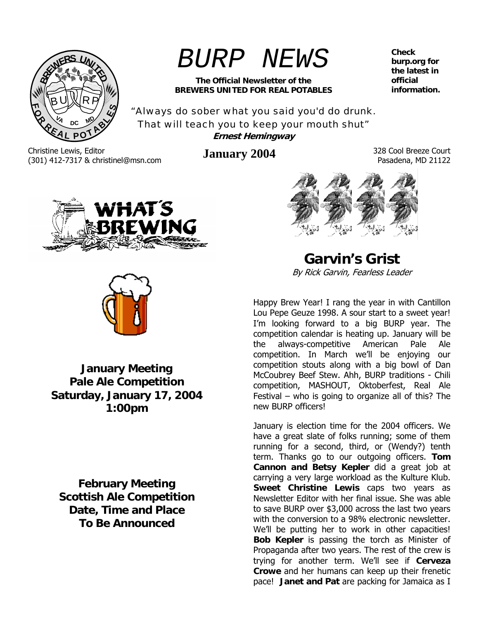

# *BURP NEWS*

**The Official Newsletter of the BREWERS UNITED FOR REAL POTABLES**  **Check burp.org for the latest in official information.** 

"Always do sober what you said you'd do drunk. That will teach you to keep your mouth shut" **Ernest Hemingway** 

Christine Lewis, Editor (301) 412-7317 & christinel@msn.com **January 2004** 328 Cool Breeze Court

Pasadena, MD 21122





**January Meeting Pale Ale Competition Saturday, January 17, 2004 1:00pm**

**February Meeting Scottish Ale Competition Date, Time and Place To Be Announced** 

**Garvin's Grist**  By Rick Garvin, Fearless Leader

Happy Brew Year! I rang the year in with Cantillon Lou Pepe Geuze 1998. A sour start to a sweet year! I'm looking forward to a big BURP year. The competition calendar is heating up. January will be the always-competitive American Pale Ale competition. In March we'll be enjoying our competition stouts along with a big bowl of Dan McCoubrey Beef Stew. Ahh, BURP traditions - Chili competition, MASHOUT, Oktoberfest, Real Ale Festival – who is going to organize all of this? The new BURP officers!

January is election time for the 2004 officers. We have a great slate of folks running; some of them running for a second, third, or (Wendy?) tenth term. Thanks go to our outgoing officers. **Tom Cannon and Betsy Kepler** did a great job at carrying a very large workload as the Kulture Klub. **Sweet Christine Lewis** caps two years as Newsletter Editor with her final issue. She was able to save BURP over \$3,000 across the last two years with the conversion to a 98% electronic newsletter. We'll be putting her to work in other capacities! **Bob Kepler** is passing the torch as Minister of Propaganda after two years. The rest of the crew is trying for another term. We'll see if **Cerveza Crowe** and her humans can keep up their frenetic pace! **Janet and Pat** are packing for Jamaica as I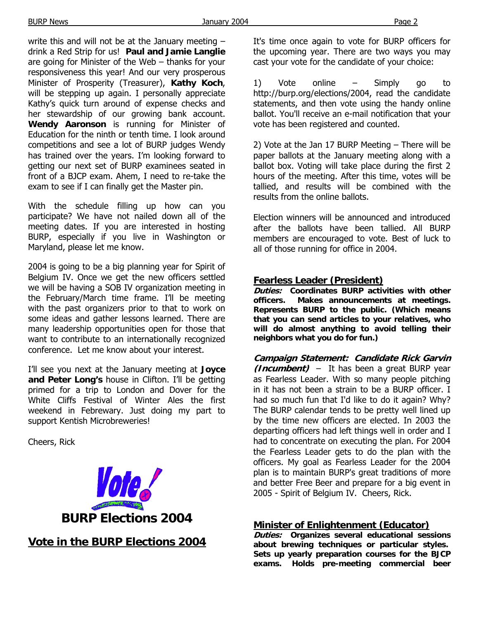BURP News Page 2

write this and will not be at the January meeting – drink a Red Strip for us! **Paul and Jamie Langlie** are going for Minister of the Web – thanks for your responsiveness this year! And our very prosperous Minister of Prosperity (Treasurer), **Kathy Koch**, will be stepping up again. I personally appreciate Kathy's quick turn around of expense checks and her stewardship of our growing bank account. **Wendy Aaronson** is running for Minister of Education for the ninth or tenth time. I look around competitions and see a lot of BURP judges Wendy has trained over the years. I'm looking forward to getting our next set of BURP examinees seated in front of a BJCP exam. Ahem, I need to re-take the exam to see if I can finally get the Master pin.

With the schedule filling up how can you participate? We have not nailed down all of the meeting dates. If you are interested in hosting BURP, especially if you live in Washington or Maryland, please let me know.

2004 is going to be a big planning year for Spirit of Belgium IV. Once we get the new officers settled we will be having a SOB IV organization meeting in the February/March time frame. I'll be meeting with the past organizers prior to that to work on some ideas and gather lessons learned. There are many leadership opportunities open for those that want to contribute to an internationally recognized conference. Let me know about your interest.

I'll see you next at the January meeting at **Joyce and Peter Long's** house in Clifton. I'll be getting primed for a trip to London and Dover for the White Cliffs Festival of Winter Ales the first weekend in Febrewary. Just doing my part to support Kentish Microbreweries!

Cheers, Rick



**Vote in the BURP Elections 2004**

It's time once again to vote for BURP officers for the upcoming year. There are two ways you may cast your vote for the candidate of your choice:

1) Vote online – Simply go to http://burp.org/elections/2004, read the candidate statements, and then vote using the handy online ballot. You'll receive an e-mail notification that your vote has been registered and counted.

2) Vote at the Jan 17 BURP Meeting – There will be paper ballots at the January meeting along with a ballot box. Voting will take place during the first 2 hours of the meeting. After this time, votes will be tallied, and results will be combined with the results from the online ballots.

Election winners will be announced and introduced after the ballots have been tallied. All BURP members are encouraged to vote. Best of luck to all of those running for office in 2004.

#### **Fearless Leader (President)**

**Duties: Coordinates BURP activities with other officers. Makes announcements at meetings. Represents BURP to the public. (Which means that you can send articles to your relatives, who will do almost anything to avoid telling their neighbors what you do for fun.)** 

**Campaign Statement: Candidate Rick Garvin (Incumbent)** – It has been a great BURP year as Fearless Leader. With so many people pitching in it has not been a strain to be a BURP officer. I had so much fun that I'd like to do it again? Why? The BURP calendar tends to be pretty well lined up by the time new officers are elected. In 2003 the departing officers had left things well in order and I had to concentrate on executing the plan. For 2004 the Fearless Leader gets to do the plan with the officers. My goal as Fearless Leader for the 2004 plan is to maintain BURP's great traditions of more and better Free Beer and prepare for a big event in 2005 - Spirit of Belgium IV. Cheers, Rick.

#### **Minister of Enlightenment (Educator)**

**Duties: Organizes several educational sessions about brewing techniques or particular styles. Sets up yearly preparation courses for the BJCP exams. Holds pre-meeting commercial beer**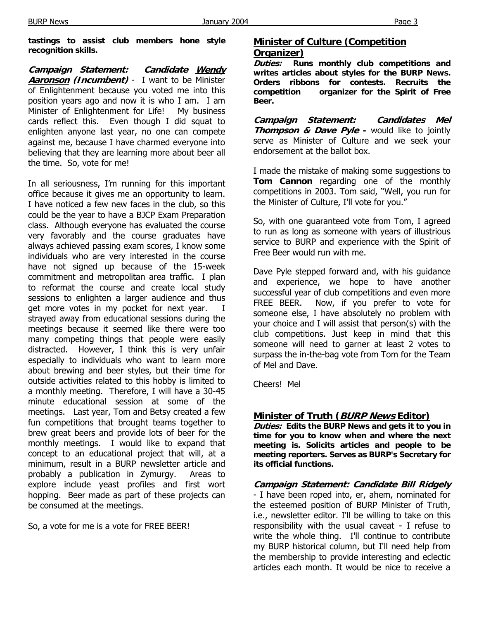**tastings to assist club members hone style recognition skills.** 

**Campaign Statement: Candidate Wendy Aaronson (Incumbent)** - I want to be Minister of Enlightenment because you voted me into this position years ago and now it is who I am. I am Minister of Enlightenment for Life! My business cards reflect this. Even though I did squat to enlighten anyone last year, no one can compete against me, because I have charmed everyone into believing that they are learning more about beer all the time. So, vote for me!

In all seriousness, I'm running for this important office because it gives me an opportunity to learn. I have noticed a few new faces in the club, so this could be the year to have a BJCP Exam Preparation class. Although everyone has evaluated the course very favorably and the course graduates have always achieved passing exam scores, I know some individuals who are very interested in the course have not signed up because of the 15-week commitment and metropolitan area traffic. I plan to reformat the course and create local study sessions to enlighten a larger audience and thus get more votes in my pocket for next year. strayed away from educational sessions during the meetings because it seemed like there were too many competing things that people were easily distracted. However, I think this is very unfair especially to individuals who want to learn more about brewing and beer styles, but their time for outside activities related to this hobby is limited to a monthly meeting. Therefore, I will have a 30-45 minute educational session at some of the meetings. Last year, Tom and Betsy created a few fun competitions that brought teams together to brew great beers and provide lots of beer for the monthly meetings. I would like to expand that concept to an educational project that will, at a minimum, result in a BURP newsletter article and probably a publication in Zymurgy. Areas to explore include yeast profiles and first wort hopping. Beer made as part of these projects can be consumed at the meetings.

So, a vote for me is a vote for FREE BEER!

#### **Minister of Culture (Competition Organizer)**

**Duties: Runs monthly club competitions and writes articles about styles for the BURP News. Orders ribbons for contests. Recruits the competition organizer for the Spirit of Free Beer.** 

**Campaign Statement: Candidates Mel Thompson & Dave Pyle -** would like to jointly serve as Minister of Culture and we seek your endorsement at the ballot box.

I made the mistake of making some suggestions to **Tom Cannon** regarding one of the monthly competitions in 2003. Tom said, "Well, you run for the Minister of Culture, I'll vote for you."

So, with one guaranteed vote from Tom, I agreed to run as long as someone with years of illustrious service to BURP and experience with the Spirit of Free Beer would run with me.

Dave Pyle stepped forward and, with his guidance and experience, we hope to have another successful year of club competitions and even more FREE BEER. Now, if you prefer to vote for someone else, I have absolutely no problem with your choice and I will assist that person(s) with the club competitions. Just keep in mind that this someone will need to garner at least 2 votes to surpass the in-the-bag vote from Tom for the Team of Mel and Dave.

Cheers! Mel

### **Minister of Truth (BURP News Editor)**

**Duties: Edits the BURP News and gets it to you in time for you to know when and where the next meeting is. Solicits articles and people to be meeting reporters. Serves as BURP's Secretary for its official functions.** 

**Campaign Statement: Candidate Bill Ridgely** - I have been roped into, er, ahem, nominated for the esteemed position of BURP Minister of Truth, i.e., newsletter editor. I'll be willing to take on this responsibility with the usual caveat - I refuse to write the whole thing. I'll continue to contribute my BURP historical column, but I'll need help from the membership to provide interesting and eclectic articles each month. It would be nice to receive a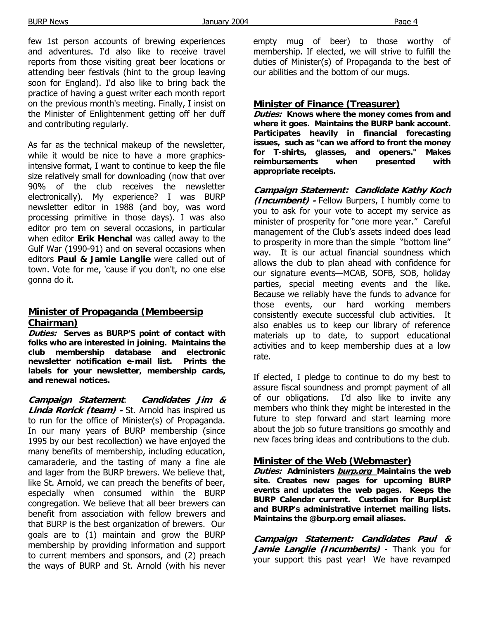few 1st person accounts of brewing experiences and adventures. I'd also like to receive travel reports from those visiting great beer locations or attending beer festivals (hint to the group leaving soon for England). I'd also like to bring back the practice of having a guest writer each month report on the previous month's meeting. Finally, I insist on the Minister of Enlightenment getting off her duff and contributing regularly.

As far as the technical makeup of the newsletter, while it would be nice to have a more graphicsintensive format, I want to continue to keep the file size relatively small for downloading (now that over 90% of the club receives the newsletter electronically). My experience? I was BURP newsletter editor in 1988 (and boy, was word processing primitive in those days). I was also editor pro tem on several occasions, in particular when editor **Erik Henchal** was called away to the Gulf War (1990-91) and on several occasions when editors **Paul & Jamie Langlie** were called out of town. Vote for me, 'cause if you don't, no one else gonna do it.

#### **Minister of Propaganda (Membeersip Chairman)**

**Duties: Serves as BURP'S point of contact with folks who are interested in joining. Maintains the club membership database and electronic newsletter notification e-mail list. Prints the labels for your newsletter, membership cards, and renewal notices.** 

**Campaign Statement**: **Candidates Jim & Linda Rorick (team) -** St. Arnold has inspired us to run for the office of Minister(s) of Propaganda. In our many years of BURP membership (since 1995 by our best recollection) we have enjoyed the many benefits of membership, including education, camaraderie, and the tasting of many a fine ale and lager from the BURP brewers. We believe that, like St. Arnold, we can preach the benefits of beer, especially when consumed within the BURP congregation. We believe that all beer brewers can benefit from association with fellow brewers and that BURP is the best organization of brewers. Our goals are to (1) maintain and grow the BURP membership by providing information and support to current members and sponsors, and (2) preach the ways of BURP and St. Arnold (with his never empty mug of beer) to those worthy of membership. If elected, we will strive to fulfill the duties of Minister(s) of Propaganda to the best of our abilities and the bottom of our mugs.

#### **Minister of Finance (Treasurer)**

**Duties: Knows where the money comes from and where it goes. Maintains the BURP bank account. Participates heavily in financial forecasting issues, such as "can we afford to front the money for T-shirts, glasses, and openers." Makes reimbursements when presented with appropriate receipts.** 

**Campaign Statement: Candidate Kathy Koch (Incumbent) -** Fellow Burpers, I humbly come to you to ask for your vote to accept my service as minister of prosperity for "one more year." Careful management of the Club's assets indeed does lead to prosperity in more than the simple "bottom line" way. It is our actual financial soundness which allows the club to plan ahead with confidence for our signature events—MCAB, SOFB, SOB, holiday parties, special meeting events and the like. Because we reliably have the funds to advance for those events, our hard working members consistently execute successful club activities. It also enables us to keep our library of reference materials up to date, to support educational activities and to keep membership dues at a low rate.

If elected, I pledge to continue to do my best to assure fiscal soundness and prompt payment of all of our obligations. I'd also like to invite any members who think they might be interested in the future to step forward and start learning more about the job so future transitions go smoothly and new faces bring ideas and contributions to the club.

### **Minister of the Web (Webmaster)**

**Duties: Administers burp.org Maintains the web site. Creates new pages for upcoming BURP events and updates the web pages. Keeps the BURP Calendar current. Custodian for BurpList and BURP's administrative internet mailing lists. Maintains the @burp.org email aliases.** 

**Campaign Statement: Candidates Paul & Jamie Langlie (Incumbents)** - Thank you for your support this past year! We have revamped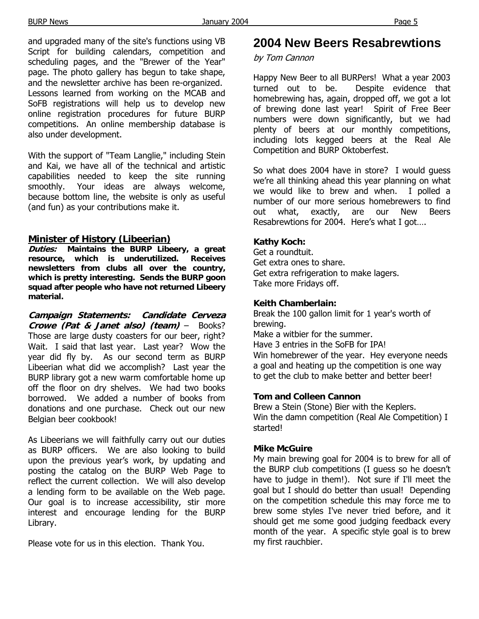and upgraded many of the site's functions using VB Script for building calendars, competition and scheduling pages, and the "Brewer of the Year" page. The photo gallery has begun to take shape, and the newsletter archive has been re-organized. Lessons learned from working on the MCAB and SoFB registrations will help us to develop new online registration procedures for future BURP competitions. An online membership database is also under development.

With the support of "Team Langlie," including Stein and Kai, we have all of the technical and artistic capabilities needed to keep the site running smoothly. Your ideas are always welcome, because bottom line, the website is only as useful (and fun) as your contributions make it.

#### **Minister of History (Libeerian)**

**Duties: Maintains the BURP Libeery, a great resource, which is underutilized. Receives newsletters from clubs all over the country, which is pretty interesting. Sends the BURP goon squad after people who have not returned Libeery material.** 

**Campaign Statements: Candidate Cerveza Crowe (Pat & Janet also) (team)** – Books? Those are large dusty coasters for our beer, right? Wait. I said that last year. Last year? Wow the year did fly by. As our second term as BURP Libeerian what did we accomplish? Last year the BURP library got a new warm comfortable home up off the floor on dry shelves. We had two books borrowed. We added a number of books from donations and one purchase. Check out our new Belgian beer cookbook!

As Libeerians we will faithfully carry out our duties as BURP officers. We are also looking to build upon the previous year's work, by updating and posting the catalog on the BURP Web Page to reflect the current collection. We will also develop a lending form to be available on the Web page. Our goal is to increase accessibility, stir more interest and encourage lending for the BURP Library.

Please vote for us in this election. Thank You.

# **2004 New Beers Resabrewtions**

#### by Tom Cannon

Happy New Beer to all BURPers! What a year 2003 turned out to be. Despite evidence that homebrewing has, again, dropped off, we got a lot of brewing done last year! Spirit of Free Beer numbers were down significantly, but we had plenty of beers at our monthly competitions, including lots kegged beers at the Real Ale Competition and BURP Oktoberfest.

So what does 2004 have in store? I would guess we're all thinking ahead this year planning on what we would like to brew and when. I polled a number of our more serious homebrewers to find out what, exactly, are our New Beers Resabrewtions for 2004. Here's what I got….

#### **Kathy Koch:**

Get a roundtuit. Get extra ones to share. Get extra refrigeration to make lagers. Take more Fridays off.

#### **Keith Chamberlain:**

Break the 100 gallon limit for 1 year's worth of brewing.

Make a witbier for the summer. Have 3 entries in the SoFB for IPA! Win homebrewer of the year. Hey everyone needs a goal and heating up the competition is one way to get the club to make better and better beer!

#### **Tom and Colleen Cannon**

Brew a Stein (Stone) Bier with the Keplers. Win the damn competition (Real Ale Competition) I started!

#### **Mike McGuire**

My main brewing goal for 2004 is to brew for all of the BURP club competitions (I guess so he doesn't have to judge in them!). Not sure if I'll meet the goal but I should do better than usual! Depending on the competition schedule this may force me to brew some styles I've never tried before, and it should get me some good judging feedback every month of the year. A specific style goal is to brew my first rauchbier.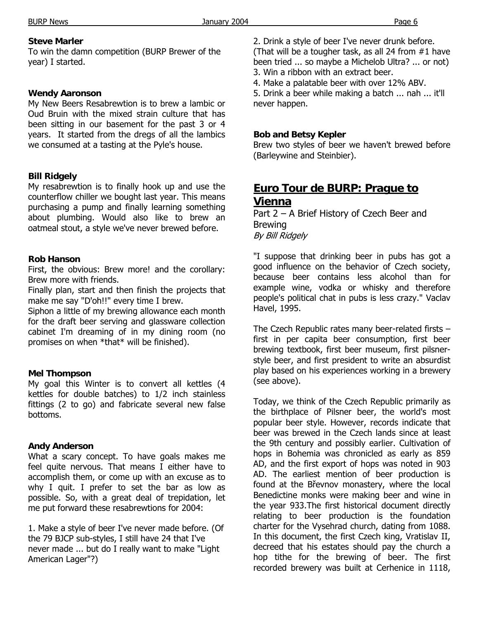#### **Steve Marler**

To win the damn competition (BURP Brewer of the year) I started.

#### **Wendy Aaronson**

My New Beers Resabrewtion is to brew a lambic or Oud Bruin with the mixed strain culture that has been sitting in our basement for the past 3 or 4 years. It started from the dregs of all the lambics we consumed at a tasting at the Pyle's house.

#### **Bill Ridgely**

My resabrewtion is to finally hook up and use the counterflow chiller we bought last year. This means purchasing a pump and finally learning something about plumbing. Would also like to brew an oatmeal stout, a style we've never brewed before.

#### **Rob Hanson**

First, the obvious: Brew more! and the corollary: Brew more with friends.

Finally plan, start and then finish the projects that make me say "D'oh!!" every time I brew.

Siphon a little of my brewing allowance each month for the draft beer serving and glassware collection cabinet I'm dreaming of in my dining room (no promises on when \*that\* will be finished).

#### **Mel Thompson**

My goal this Winter is to convert all kettles (4 kettles for double batches) to 1/2 inch stainless fittings (2 to go) and fabricate several new false bottoms.

#### **Andy Anderson**

What a scary concept. To have goals makes me feel quite nervous. That means I either have to accomplish them, or come up with an excuse as to why I quit. I prefer to set the bar as low as possible. So, with a great deal of trepidation, let me put forward these resabrewtions for 2004:

1. Make a style of beer I've never made before. (Of the 79 BJCP sub-styles, I still have 24 that I've never made ... but do I really want to make "Light American Lager"?)

2. Drink a style of beer I've never drunk before. (That will be a tougher task, as all 24 from #1 have been tried ... so maybe a Michelob Ultra? ... or not) 3. Win a ribbon with an extract beer.

4. Make a palatable beer with over 12% ABV.

5. Drink a beer while making a batch ... nah ... it'll never happen.

#### **Bob and Betsy Kepler**

Brew two styles of beer we haven't brewed before (Barleywine and Steinbier).

# **Euro Tour de BURP: Prague to Vienna**

Part 2 – A Brief History of Czech Beer and Brewing

By Bill Ridgely

"I suppose that drinking beer in pubs has got a good influence on the behavior of Czech society, because beer contains less alcohol than for example wine, vodka or whisky and therefore people's political chat in pubs is less crazy." Vaclav Havel, 1995.

The Czech Republic rates many beer-related firsts – first in per capita beer consumption, first beer brewing textbook, first beer museum, first pilsnerstyle beer, and first president to write an absurdist play based on his experiences working in a brewery (see above).

Today, we think of the Czech Republic primarily as the birthplace of Pilsner beer, the world's most popular beer style. However, records indicate that beer was brewed in the Czech lands since at least the 9th century and possibly earlier. Cultivation of hops in Bohemia was chronicled as early as 859 AD, and the first export of hops was noted in 903 AD. The earliest mention of beer production is found at the Břevnov monastery, where the local Benedictine monks were making beer and wine in the year 933.The first historical document directly relating to beer production is the foundation charter for the Vysehrad church, dating from 1088. In this document, the first Czech king, Vratislav II, decreed that his estates should pay the church a hop tithe for the brewing of beer. The first recorded brewery was built at Cerhenice in 1118,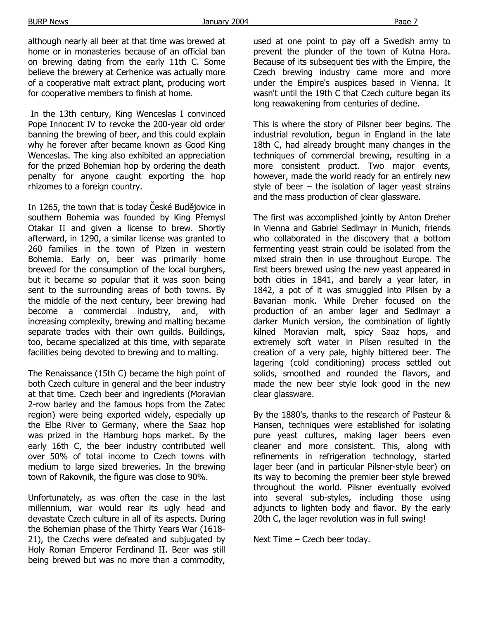although nearly all beer at that time was brewed at home or in monasteries because of an official ban on brewing dating from the early 11th C. Some believe the brewery at Cerhenice was actually more of a cooperative malt extract plant, producing wort for cooperative members to finish at home.

 In the 13th century, King Wenceslas I convinced Pope Innocent IV to revoke the 200-year old order banning the brewing of beer, and this could explain why he forever after became known as Good King Wenceslas. The king also exhibited an appreciation for the prized Bohemian hop by ordering the death penalty for anyone caught exporting the hop rhizomes to a foreign country.

In 1265, the town that is today České Budějovice in southern Bohemia was founded by King Přemysl Otakar II and given a license to brew. Shortly afterward, in 1290, a similar license was granted to 260 families in the town of Plzen in western Bohemia. Early on, beer was primarily home brewed for the consumption of the local burghers, but it became so popular that it was soon being sent to the surrounding areas of both towns. By the middle of the next century, beer brewing had become a commercial industry, and, with increasing complexity, brewing and malting became separate trades with their own quilds. Buildings, too, became specialized at this time, with separate facilities being devoted to brewing and to malting.

The Renaissance (15th C) became the high point of both Czech culture in general and the beer industry at that time. Czech beer and ingredients (Moravian 2-row barley and the famous hops from the Zatec region) were being exported widely, especially up the Elbe River to Germany, where the Saaz hop was prized in the Hamburg hops market. By the early 16th C, the beer industry contributed well over 50% of total income to Czech towns with medium to large sized breweries. In the brewing town of Rakovnik, the figure was close to 90%.

Unfortunately, as was often the case in the last millennium, war would rear its ugly head and devastate Czech culture in all of its aspects. During the Bohemian phase of the Thirty Years War (1618- 21), the Czechs were defeated and subjugated by Holy Roman Emperor Ferdinand II. Beer was still being brewed but was no more than a commodity,

used at one point to pay off a Swedish army to prevent the plunder of the town of Kutna Hora. Because of its subsequent ties with the Empire, the Czech brewing industry came more and more under the Empire's auspices based in Vienna. It wasn't until the 19th C that Czech culture began its long reawakening from centuries of decline.

This is where the story of Pilsner beer begins. The industrial revolution, begun in England in the late 18th C, had already brought many changes in the techniques of commercial brewing, resulting in a more consistent product. Two major events, however, made the world ready for an entirely new style of beer – the isolation of lager yeast strains and the mass production of clear glassware.

The first was accomplished jointly by Anton Dreher in Vienna and Gabriel Sedlmayr in Munich, friends who collaborated in the discovery that a bottom fermenting yeast strain could be isolated from the mixed strain then in use throughout Europe. The first beers brewed using the new yeast appeared in both cities in 1841, and barely a year later, in 1842, a pot of it was smuggled into Pilsen by a Bavarian monk. While Dreher focused on the production of an amber lager and Sedlmayr a darker Munich version, the combination of lightly kilned Moravian malt, spicy Saaz hops, and extremely soft water in Pilsen resulted in the creation of a very pale, highly bittered beer. The lagering (cold conditioning) process settled out solids, smoothed and rounded the flavors, and made the new beer style look good in the new clear glassware.

By the 1880's, thanks to the research of Pasteur & Hansen, techniques were established for isolating pure yeast cultures, making lager beers even cleaner and more consistent. This, along with refinements in refrigeration technology, started lager beer (and in particular Pilsner-style beer) on its way to becoming the premier beer style brewed throughout the world. Pilsner eventually evolved into several sub-styles, including those using adjuncts to lighten body and flavor. By the early 20th C, the lager revolution was in full swing!

Next Time – Czech beer today.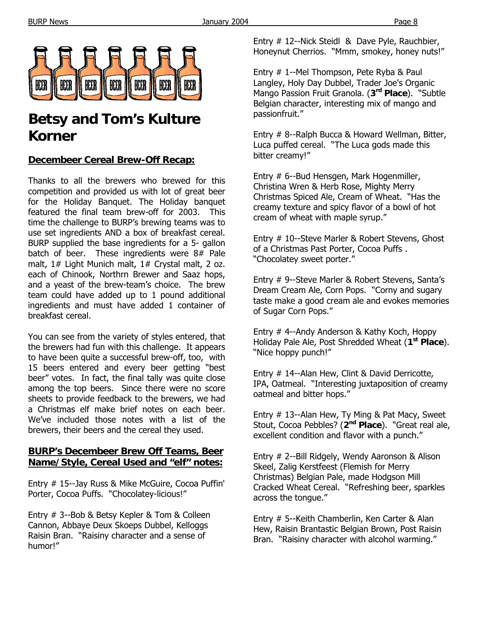

# **Betsy and Tom's Kulture Korner**

### **Decembeer Cereal Brew-Off Recap:**

Thanks to all the brewers who brewed for this competition and provided us with lot of great beer for the Holiday Banquet. The Holiday banquet featured the final team brew-off for 2003. This time the challenge to BURP's brewing teams was to use set ingredients AND a box of breakfast cereal. BURP supplied the base ingredients for a 5- gallon batch of beer. These ingredients were 8# Pale malt, 1# Light Munich malt, 1# Crystal malt, 2 oz. each of Chinook, Northrn Brewer and Saaz hops, and a yeast of the brew-team's choice. The brew team could have added up to 1 pound additional ingredients and must have added 1 container of breakfast cereal.

You can see from the variety of styles entered, that the brewers had fun with this challenge. It appears to have been quite a successful brew-off, too, with 15 beers entered and every beer getting "best beer" votes. In fact, the final tally was quite close among the top beers. Since there were no score sheets to provide feedback to the brewers, we had a Christmas elf make brief notes on each beer. We've included those notes with a list of the brewers, their beers and the cereal they used.

#### **BURP's Decembeer Brew Off Teams, Beer Name/Style, Cereal Used and "elf" notes:**

Entry # 15--Jay Russ & Mike McGuire, Cocoa Puffin' Porter, Cocoa Puffs. "Chocolatey-licious!"

Entry # 3--Bob & Betsy Kepler & Tom & Colleen Cannon, Abbaye Deux Skoeps Dubbel, Kelloggs Raisin Bran. "Raisiny character and a sense of humor!"

Entry # 12--Nick Steidl & Dave Pyle, Rauchbier, Honeynut Cherrios. "Mmm, smokey, honey nuts!"

Entry # 1--Mel Thompson, Pete Ryba & Paul Langley, Holy Day Dubbel, Trader Joe's Organic Mango Passion Fruit Granola. (**3rd Place**). "Subtle Belgian character, interesting mix of mango and passionfruit."

Entry # 8--Ralph Bucca & Howard Wellman, Bitter, Luca puffed cereal. "The Luca gods made this bitter creamy!"

Entry # 6--Bud Hensgen, Mark Hogenmiller, Christina Wren & Herb Rose, Mighty Merry Christmas Spiced Ale, Cream of Wheat. "Has the creamy texture and spicy flavor of a bowl of hot cream of wheat with maple syrup."

Entry # 10--Steve Marler & Robert Stevens, Ghost of a Christmas Past Porter, Cocoa Puffs . "Chocolatey sweet porter."

Entry # 9--Steve Marler & Robert Stevens, Santa's Dream Cream Ale, Corn Pops. "Corny and sugary taste make a good cream ale and evokes memories of Sugar Corn Pops."

Entry # 4--Andy Anderson & Kathy Koch, Hoppy Holiday Pale Ale, Post Shredded Wheat (**1st Place**). "Nice hoppy punch!"

Entry # 14--Alan Hew, Clint & David Derricotte, IPA, Oatmeal. "Interesting juxtaposition of creamy oatmeal and bitter hops."

Entry # 13--Alan Hew, Ty Ming & Pat Macy, Sweet Stout, Cocoa Pebbles? (**2nd Place**). "Great real ale, excellent condition and flavor with a punch."

Entry # 2--Bill Ridgely, Wendy Aaronson & Alison Skeel, Zalig Kerstfeest (Flemish for Merry Christmas) Belgian Pale, made Hodgson Mill Cracked Wheat Cereal. "Refreshing beer, sparkles across the tongue."

Entry # 5--Keith Chamberlin, Ken Carter & Alan Hew, Raisin Brantastic Belgian Brown, Post Raisin Bran. "Raisiny character with alcohol warming."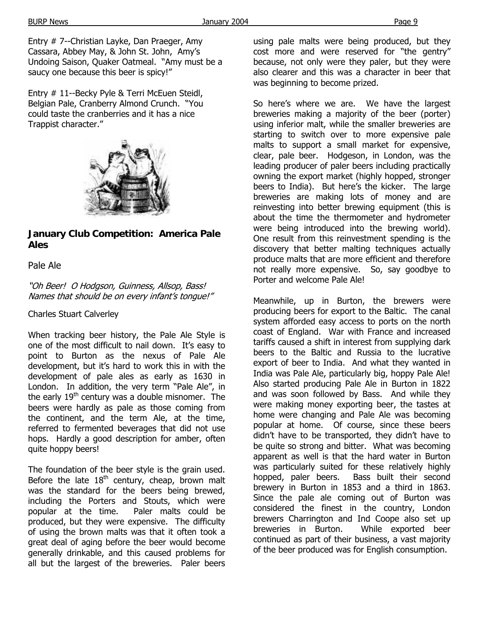Entry # 7--Christian Layke, Dan Praeger, Amy Cassara, Abbey May, & John St. John, Amy's Undoing Saison, Quaker Oatmeal. "Amy must be a saucy one because this beer is spicy!"

Entry # 11--Becky Pyle & Terri McEuen Steidl, Belgian Pale, Cranberry Almond Crunch. "You could taste the cranberries and it has a nice Trappist character."



**January Club Competition: America Pale Ales** 

#### Pale Ale

"Oh Beer! O Hodgson, Guinness, Allsop, Bass! Names that should be on every infant's tongue!"

Charles Stuart Calverley

When tracking beer history, the Pale Ale Style is one of the most difficult to nail down. It's easy to point to Burton as the nexus of Pale Ale development, but it's hard to work this in with the development of pale ales as early as 1630 in London. In addition, the very term "Pale Ale", in the early  $19<sup>th</sup>$  century was a double misnomer. The beers were hardly as pale as those coming from the continent, and the term Ale, at the time, referred to fermented beverages that did not use hops. Hardly a good description for amber, often quite hoppy beers!

The foundation of the beer style is the grain used. Before the late  $18<sup>th</sup>$  century, cheap, brown malt was the standard for the beers being brewed, including the Porters and Stouts, which were popular at the time. Paler malts could be produced, but they were expensive. The difficulty of using the brown malts was that it often took a great deal of aging before the beer would become generally drinkable, and this caused problems for all but the largest of the breweries. Paler beers

using pale malts were being produced, but they cost more and were reserved for "the gentry" because, not only were they paler, but they were also clearer and this was a character in beer that was beginning to become prized.

So here's where we are. We have the largest breweries making a majority of the beer (porter) using inferior malt, while the smaller breweries are starting to switch over to more expensive pale malts to support a small market for expensive, clear, pale beer. Hodgeson, in London, was the leading producer of paler beers including practically owning the export market (highly hopped, stronger beers to India). But here's the kicker. The large breweries are making lots of money and are reinvesting into better brewing equipment (this is about the time the thermometer and hydrometer were being introduced into the brewing world). One result from this reinvestment spending is the discovery that better malting techniques actually produce malts that are more efficient and therefore not really more expensive. So, say goodbye to Porter and welcome Pale Ale!

Meanwhile, up in Burton, the brewers were producing beers for export to the Baltic. The canal system afforded easy access to ports on the north coast of England. War with France and increased tariffs caused a shift in interest from supplying dark beers to the Baltic and Russia to the lucrative export of beer to India. And what they wanted in India was Pale Ale, particularly big, hoppy Pale Ale! Also started producing Pale Ale in Burton in 1822 and was soon followed by Bass. And while they were making money exporting beer, the tastes at home were changing and Pale Ale was becoming popular at home. Of course, since these beers didn't have to be transported, they didn't have to be quite so strong and bitter. What was becoming apparent as well is that the hard water in Burton was particularly suited for these relatively highly hopped, paler beers. Bass built their second brewery in Burton in 1853 and a third in 1863. Since the pale ale coming out of Burton was considered the finest in the country, London brewers Charrington and Ind Coope also set up breweries in Burton. While exported beer continued as part of their business, a vast majority of the beer produced was for English consumption.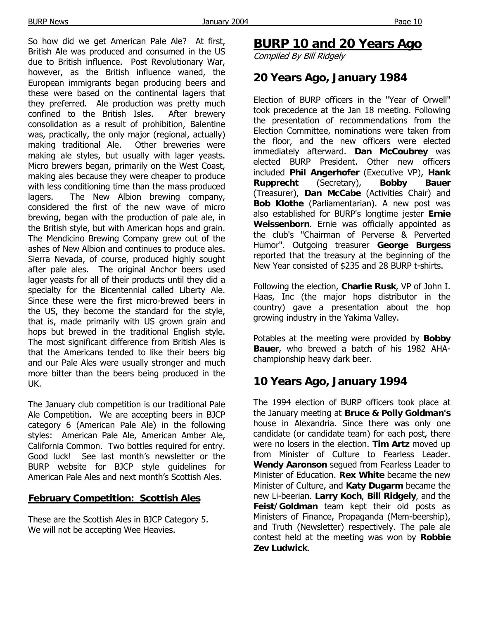So how did we get American Pale Ale? At first, British Ale was produced and consumed in the US due to British influence. Post Revolutionary War, however, as the British influence waned, the European immigrants began producing beers and these were based on the continental lagers that they preferred. Ale production was pretty much confined to the British Isles. After brewery consolidation as a result of prohibition, Balentine was, practically, the only major (regional, actually) making traditional Ale. Other breweries were making ale styles, but usually with lager yeasts. Micro brewers began, primarily on the West Coast, making ales because they were cheaper to produce with less conditioning time than the mass produced lagers. The New Albion brewing company, considered the first of the new wave of micro brewing, began with the production of pale ale, in the British style, but with American hops and grain. The Mendicino Brewing Company grew out of the ashes of New Albion and continues to produce ales. Sierra Nevada, of course, produced highly sought after pale ales. The original Anchor beers used lager yeasts for all of their products until they did a specialty for the Bicentennial called Liberty Ale. Since these were the first micro-brewed beers in the US, they become the standard for the style, that is, made primarily with US grown grain and hops but brewed in the traditional English style. The most significant difference from British Ales is that the Americans tended to like their beers big and our Pale Ales were usually stronger and much more bitter than the beers being produced in the UK.

The January club competition is our traditional Pale Ale Competition. We are accepting beers in BJCP category 6 (American Pale Ale) in the following styles: American Pale Ale, American Amber Ale, California Common. Two bottles required for entry. Good luck! See last month's newsletter or the BURP website for BJCP style guidelines for American Pale Ales and next month's Scottish Ales.

#### **February Competition: Scottish Ales**

These are the Scottish Ales in BJCP Category 5. We will not be accepting Wee Heavies.

# **BURP 10 and 20 Years Ago**

Compiled By Bill Ridgely

# **20 Years Ago, January 1984**

Election of BURP officers in the "Year of Orwell" took precedence at the Jan 18 meeting. Following the presentation of recommendations from the Election Committee, nominations were taken from the floor, and the new officers were elected immediately afterward. **Dan McCoubrey** was elected BURP President. Other new officers included **Phil Angerhofer** (Executive VP), **Hank Rupprecht** (Secretary), **Bobby Bauer** (Treasurer), **Dan McCabe** (Activities Chair) and **Bob Klothe** (Parliamentarian). A new post was also established for BURP's longtime jester **Ernie Weissenborn**. Ernie was officially appointed as the club's "Chairman of Perverse & Perverted Humor". Outgoing treasurer **George Burgess** reported that the treasury at the beginning of the New Year consisted of \$235 and 28 BURP t-shirts.

Following the election, **Charlie Rusk**, VP of John I. Haas, Inc (the major hops distributor in the country) gave a presentation about the hop growing industry in the Yakima Valley.

Potables at the meeting were provided by **Bobby Bauer**, who brewed a batch of his 1982 AHAchampionship heavy dark beer.

# **10 Years Ago, January 1994**

The 1994 election of BURP officers took place at the January meeting at **Bruce & Polly Goldman's** house in Alexandria. Since there was only one candidate (or candidate team) for each post, there were no losers in the election. **Tim Artz** moved up from Minister of Culture to Fearless Leader. **Wendy Aaronson** segued from Fearless Leader to Minister of Education. **Rex White** became the new Minister of Culture, and **Katy Dugarm** became the new Li-beerian. **Larry Koch**, **Bill Ridgely**, and the **Feist/Goldman** team kept their old posts as Ministers of Finance, Propaganda (Mem-beership), and Truth (Newsletter) respectively. The pale ale contest held at the meeting was won by **Robbie Zev Ludwick**.